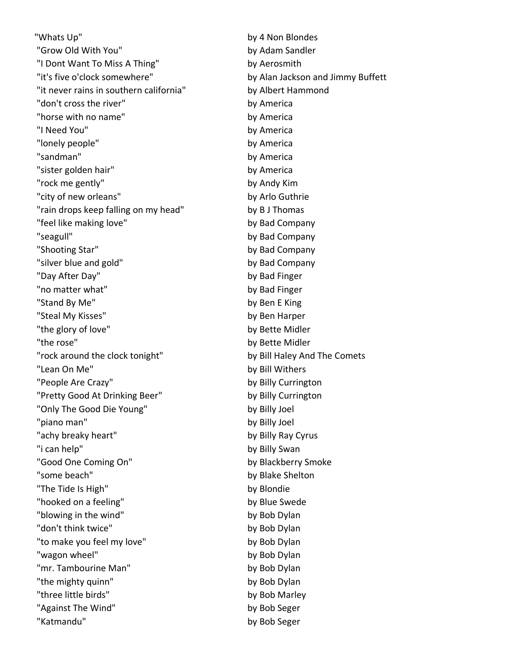"Whats Up" by 4 Non Blondes "Grow Old With You" by Adam Sandler "I Dont Want To Miss A Thing" by Aerosmith "it's five o'clock somewhere" by Alan Jackson and Jimmy Buffett "it never rains in southern california" by Albert Hammond "don't cross the river" by America "horse with no name" by America "I Need You" by America "lonely people" by America "sandman" by America "sister golden hair" by America "rock me gently" by Andy Kim "city of new orleans" by Arlo Guthrie "rain drops keep falling on my head" by B J Thomas "feel like making love" by Bad Company "seagull" by Bad Company "Shooting Star" by Bad Company "silver blue and gold" by Bad Company "Day After Day" by Bad Finger "no matter what" by Bad Finger "Stand By Me" by Ben E King "Steal My Kisses" by Ben Harper "the glory of love" by Bette Midler "the rose" by Bette Midler "rock around the clock tonight" by Bill Haley And The Comets "Lean On Me" by Bill Withers "People Are Crazy" by Billy Currington "Pretty Good At Drinking Beer" by Billy Currington "Only The Good Die Young" by Billy Joel "piano man" by Billy Joel "achy breaky heart" by Billy Ray Cyrus "i can help" by Billy Swan "Good One Coming On" by Blackberry Smoke "some beach" by Blake Shelton "The Tide Is High" by Blondie "hooked on a feeling" by Blue Swede "blowing in the wind" by Bob Dylan "don't think twice" by Bob Dylan "to make you feel my love" by Bob Dylan "wagon wheel" by Bob Dylan "mr. Tambourine Man" by Bob Dylan "the mighty quinn" by Bob Dylan "three little birds" by Bob Marley "Against The Wind" by Bob Seger "Katmandu" by Bob Seger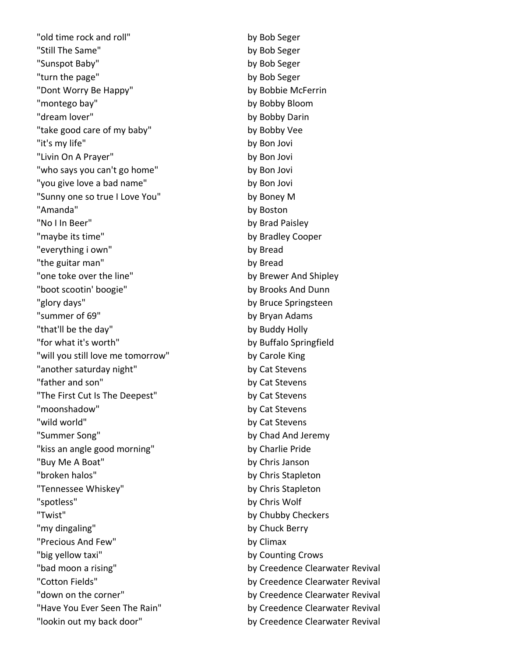"old time rock and roll" by Bob Seger "Still The Same" by Bob Seger "Sunspot Baby" by Bob Seger "turn the page" by Bob Seger "Dont Worry Be Happy" by Bobbie McFerrin "montego bay" by Bobby Bloom "dream lover" by Bobby Darin "take good care of my baby" by Bobby Vee "it's my life" by Bon Jovi "Livin On A Prayer" by Bon Jovi "who says you can't go home" by Bon Jovi "you give love a bad name" by Bon Jovi "Sunny one so true I Love You" by Boney M "Amanda" by Boston "No I In Beer" by Brad Paisley "maybe its time" by Bradley Cooper "everything i own" by Bread "the guitar man" by Bread "one toke over the line" by Brewer And Shipley "boot scootin' boogie" by Brooks And Dunn "glory days" by Bruce Springsteen "summer of 69" by Bryan Adams "that'll be the day" by Buddy Holly "for what it's worth" by Buffalo Springfield "will you still love me tomorrow" by Carole King "another saturday night" by Cat Stevens "father and son" by Cat Stevens "The First Cut Is The Deepest" by Cat Stevens "moonshadow" by Cat Stevens "wild world" by Cat Stevens "Summer Song" by Chad And Jeremy "kiss an angle good morning" by Charlie Pride "Buy Me A Boat" by Chris Janson "broken halos" by Chris Stapleton "Tennessee Whiskey" by Chris Stapleton "spotless" by Chris Wolf "Twist" by Chubby Checkers "my dingaling" by Chuck Berry "Precious And Few" by Climax "big yellow taxi" by Counting Crows "bad moon a rising" by Creedence Clearwater Revival "Cotton Fields" by Creedence Clearwater Revival "down on the corner" example and the corner by Creedence Clearwater Revival "Have You Ever Seen The Rain" by Creedence Clearwater Revival "lookin out my back door" by Creedence Clearwater Revival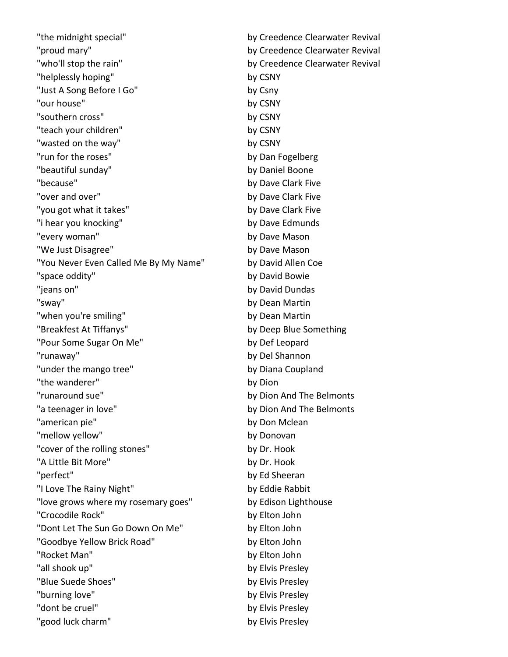"the midnight special" by Creedence Clearwater Revival "proud mary" by Creedence Clearwater Revival "who'll stop the rain" and the state of the state of the by Creedence Clearwater Revival "helplessly hoping" by CSNY "Just A Song Before I Go" by Csny "our house" by CSNY "southern cross" by CSNY "teach your children" by CSNY "wasted on the way" by CSNY "run for the roses" by Dan Fogelberg "beautiful sunday" by Daniel Boone "because" by Dave Clark Five "over and over" by Dave Clark Five "you got what it takes" by Dave Clark Five "i hear you knocking" by Dave Edmunds "every woman" by Dave Mason "We Just Disagree" by Dave Mason "You Never Even Called Me By My Name" by David Allen Coe "space oddity" by David Bowie "jeans on" by David Dundas "sway" by Dean Martin "when you're smiling" by Dean Martin "Breakfest At Tiffanys" by Deep Blue Something "Pour Some Sugar On Me" by Def Leopard "runaway" by Del Shannon "under the mango tree" by Diana Coupland "the wanderer" by Dion "runaround sue" by Dion And The Belmonts "a teenager in love" by Dion And The Belmonts "american pie" by Don Mclean "mellow yellow" by Donovan "cover of the rolling stones" by Dr. Hook "A Little Bit More" by Dr. Hook "perfect" by Ed Sheeran "I Love The Rainy Night" by Eddie Rabbit "love grows where my rosemary goes" by Edison Lighthouse "Crocodile Rock" by Elton John "Dont Let The Sun Go Down On Me" by Elton John "Goodbye Yellow Brick Road" by Elton John "Rocket Man" by Elton John "all shook up" by Elvis Presley "Blue Suede Shoes" by Elvis Presley "burning love" by Elvis Presley "dont be cruel" by Elvis Presley "good luck charm" by Elvis Presley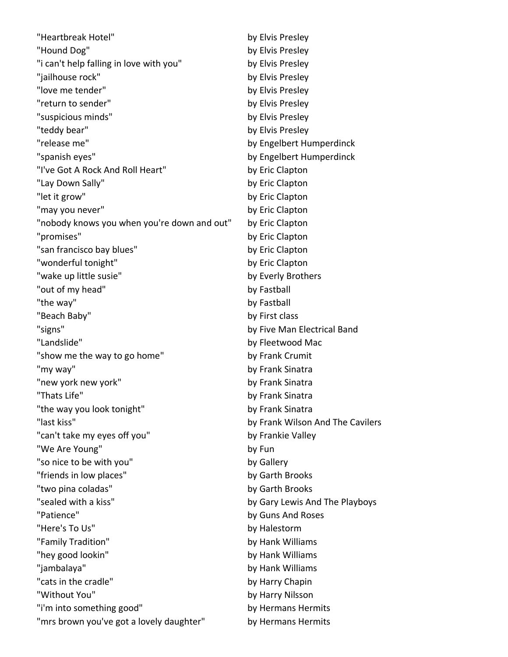| "Heartbreak Hotel"                          | by Elvis Presley                 |
|---------------------------------------------|----------------------------------|
| "Hound Dog"                                 | by Elvis Presley                 |
| "i can't help falling in love with you"     | by Elvis Presley                 |
| "jailhouse rock"                            | by Elvis Presley                 |
| "love me tender"                            | by Elvis Presley                 |
| "return to sender"                          | by Elvis Presley                 |
| "suspicious minds"                          | by Elvis Presley                 |
| "teddy bear"                                | by Elvis Presley                 |
| "release me"                                | by Engelbert Humperdinck         |
| "spanish eyes"                              | by Engelbert Humperdinck         |
| "I've Got A Rock And Roll Heart"            | by Eric Clapton                  |
| "Lay Down Sally"                            | by Eric Clapton                  |
| "let it grow"                               | by Eric Clapton                  |
| "may you never"                             | by Eric Clapton                  |
| "nobody knows you when you're down and out" | by Eric Clapton                  |
| "promises"                                  | by Eric Clapton                  |
| "san francisco bay blues"                   | by Eric Clapton                  |
| "wonderful tonight"                         | by Eric Clapton                  |
| "wake up little susie"                      | by Everly Brothers               |
| "out of my head"                            | by Fastball                      |
| "the way"                                   | by Fastball                      |
| "Beach Baby"                                | by First class                   |
| "signs"                                     | by Five Man Electrical Band      |
| "Landslide"                                 | by Fleetwood Mac                 |
| "show me the way to go home"                | by Frank Crumit                  |
| "my way"                                    | by Frank Sinatra                 |
| "new york new york"                         | by Frank Sinatra                 |
| "Thats Life"                                | by Frank Sinatra                 |
| "the way you look tonight"                  | by Frank Sinatra                 |
| "last kiss"                                 | by Frank Wilson And The Cavilers |
| "can't take my eyes off you"                | by Frankie Valley                |
| "We Are Young"                              | by Fun                           |
| "so nice to be with you"                    | by Gallery                       |
| "friends in low places"                     | by Garth Brooks                  |
| "two pina coladas"                          | by Garth Brooks                  |
| "sealed with a kiss"                        | by Gary Lewis And The Playboys   |
| "Patience"                                  | by Guns And Roses                |
| "Here's To Us"                              | by Halestorm                     |
| "Family Tradition"                          | by Hank Williams                 |
| "hey good lookin"                           | by Hank Williams                 |
| "jambalaya"                                 | by Hank Williams                 |
| "cats in the cradle"                        | by Harry Chapin                  |
| "Without You"                               | by Harry Nilsson                 |
| "i'm into something good"                   | by Hermans Hermits               |
| "mrs brown you've got a lovely daughter"    | by Hermans Hermits               |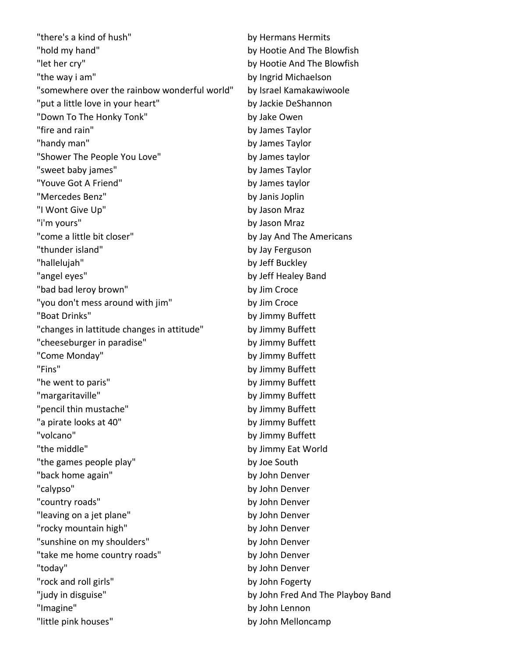"there's a kind of hush" by Hermans Hermits "hold my hand" by Hootie And The Blowfish "let her cry" by Hootie And The Blowfish "the way i am" by Ingrid Michaelson "somewhere over the rainbow wonderful world" by Israel Kamakawiwoole "put a little love in your heart" by Jackie DeShannon "Down To The Honky Tonk" by Jake Owen "fire and rain" by James Taylor "handy man" by James Taylor "Shower The People You Love" by James taylor "sweet baby james" by James Taylor "Youve Got A Friend" by James taylor "Mercedes Benz" by Janis Joplin "I Wont Give Up" by Jason Mraz "i'm yours" by Jason Mraz "come a little bit closer" by Jay And The Americans "thunder island" by Jay Ferguson "hallelujah" by Jeff Buckley "angel eyes" by Jeff Healey Band "bad bad leroy brown" by Jim Croce "you don't mess around with jim" by Jim Croce "Boat Drinks" by Jimmy Buffett "changes in lattitude changes in attitude" by Jimmy Buffett "cheeseburger in paradise" by Jimmy Buffett "Come Monday" by Jimmy Buffett "Fins" by Jimmy Buffett "he went to paris" by Jimmy Buffett "margaritaville" by Jimmy Buffett "pencil thin mustache" by Jimmy Buffett "a pirate looks at 40" by Jimmy Buffett "volcano" by Jimmy Buffett "the middle" by Jimmy Eat World "the games people play" by Joe South "back home again" by John Denver "calypso" by John Denver "country roads" by John Denver "leaving on a jet plane" by John Denver "rocky mountain high" by John Denver "sunshine on my shoulders" by John Denver "take me home country roads" by John Denver "today" by John Denver "rock and roll girls" by John Fogerty "judy in disguise" by John Fred And The Playboy Band "Imagine" by John Lennon "little pink houses" by John Melloncamp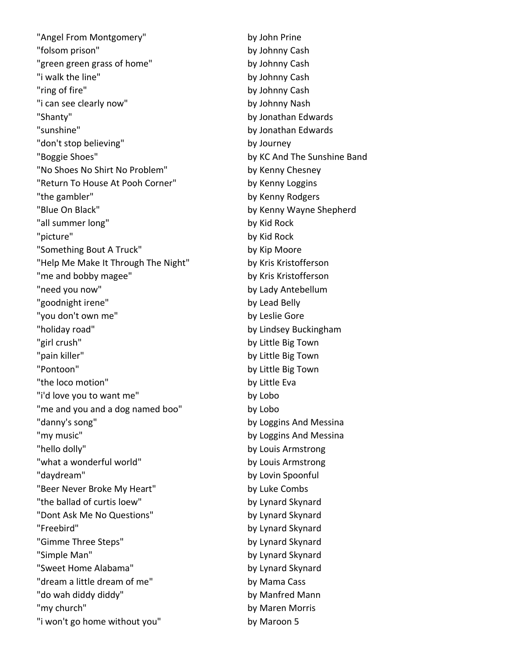"Angel From Montgomery" by John Prine "folsom prison" by Johnny Cash "green green grass of home" by Johnny Cash "i walk the line" by Johnny Cash "ring of fire" by Johnny Cash "i can see clearly now" by Johnny Nash "Shanty" by Jonathan Edwards "sunshine" by Jonathan Edwards "don't stop believing" by Journey "Boggie Shoes" by KC And The Sunshine Band "No Shoes No Shirt No Problem" by Kenny Chesney "Return To House At Pooh Corner" by Kenny Loggins "the gambler" by Kenny Rodgers "Blue On Black" by Kenny Wayne Shepherd "all summer long" by Kid Rock "picture" by Kid Rock "Something Bout A Truck" by Kip Moore "Help Me Make It Through The Night" by Kris Kristofferson "me and bobby magee" by Kris Kristofferson "need you now" by Lady Antebellum "goodnight irene" by Lead Belly "you don't own me" by Leslie Gore "holiday road" by Lindsey Buckingham "girl crush" by Little Big Town "pain killer" by Little Big Town "Pontoon" by Little Big Town "the loco motion" by Little Eva "i'd love you to want me" by Lobo "me and you and a dog named boo" by Lobo "danny's song" by Loggins And Messina "my music" by Loggins And Messina "hello dolly" by Louis Armstrong "what a wonderful world" by Louis Armstrong "daydream" by Lovin Spoonful "Beer Never Broke My Heart" by Luke Combs "the ballad of curtis loew" by Lynard Skynard "Dont Ask Me No Questions" by Lynard Skynard "Freebird" by Lynard Skynard "Gimme Three Steps" by Lynard Skynard "Simple Man" by Lynard Skynard "Sweet Home Alabama" by Lynard Skynard "dream a little dream of me" by Mama Cass "do wah diddy diddy" by Manfred Mann "my church" by Maren Morris "i won't go home without you" by Maroon 5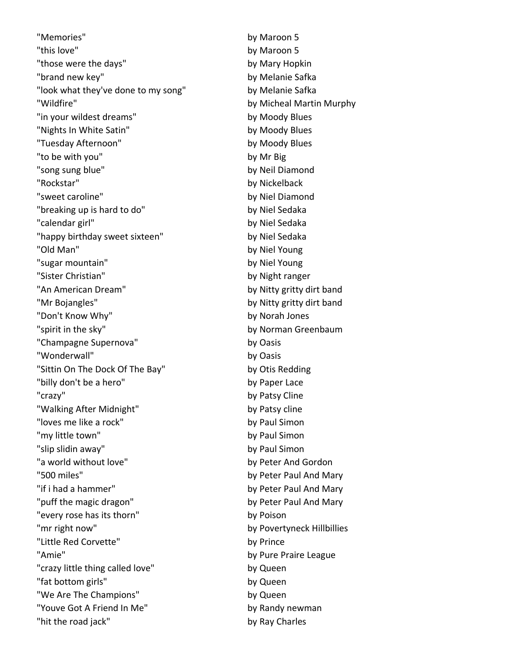"Memories" by Maroon 5 "this love" by Maroon 5 "those were the days" by Mary Hopkin "brand new key" by Melanie Safka "look what they've done to my song" by Melanie Safka "Wildfire" by Micheal Martin Murphy "in your wildest dreams" by Moody Blues "Nights In White Satin" by Moody Blues "Tuesday Afternoon" by Moody Blues "to be with you" by Mr Big "song sung blue" by Neil Diamond "Rockstar" by Nickelback "sweet caroline" by Niel Diamond "breaking up is hard to do" by Niel Sedaka "calendar girl" by Niel Sedaka "happy birthday sweet sixteen" by Niel Sedaka "Old Man" by Niel Young "sugar mountain" by Niel Young "Sister Christian" by Night ranger "An American Dream" by Nitty gritty dirt band "Mr Bojangles" by Nitty gritty dirt band "Don't Know Why" by Norah Jones "spirit in the sky" by Norman Greenbaum "Champagne Supernova" by Oasis "Wonderwall" by Oasis "Sittin On The Dock Of The Bay" by Otis Redding "billy don't be a hero" by Paper Lace "crazy" by Patsy Cline "Walking After Midnight" by Patsy cline "loves me like a rock" by Paul Simon "my little town" by Paul Simon "slip slidin away" by Paul Simon "a world without love" by Peter And Gordon "500 miles" by Peter Paul And Mary "if i had a hammer" by Peter Paul And Mary "puff the magic dragon" by Peter Paul And Mary "every rose has its thorn" by Poison "mr right now" by Povertyneck Hillbillies "Little Red Corvette" by Prince "Amie" by Pure Praire League "crazy little thing called love" by Queen "fat bottom girls" by Queen "We Are The Champions" by Queen "Youve Got A Friend In Me" by Randy newman "hit the road jack" by Ray Charles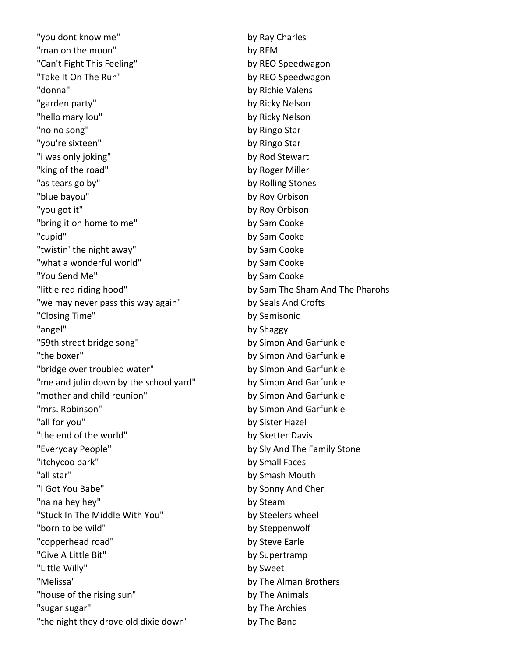"you dont know me" by Ray Charles "man on the moon" by REM "Can't Fight This Feeling" by REO Speedwagon "Take It On The Run" by REO Speedwagon "donna" by Richie Valens "garden party" by Ricky Nelson "hello mary lou" by Ricky Nelson "no no song" by Ringo Star "you're sixteen" by Ringo Star "i was only joking" by Rod Stewart "king of the road" by Roger Miller "as tears go by" by Rolling Stones "blue bayou" by Roy Orbison "you got it" by Roy Orbison "bring it on home to me" by Sam Cooke "cupid" by Sam Cooke "twistin' the night away" by Sam Cooke "what a wonderful world" by Sam Cooke "You Send Me" by Sam Cooke "little red riding hood" by Sam The Sham And The Pharohs "we may never pass this way again" by Seals And Crofts "Closing Time" by Semisonic "angel" by Shaggy "59th street bridge song" by Simon And Garfunkle "the boxer" by Simon And Garfunkle "bridge over troubled water" by Simon And Garfunkle "me and julio down by the school yard" by Simon And Garfunkle "mother and child reunion" by Simon And Garfunkle "mrs. Robinson" by Simon And Garfunkle "all for you" by Sister Hazel "the end of the world" by Sketter Davis "Everyday People" by Sly And The Family Stone "itchycoo park" by Small Faces "all star" by Smash Mouth "I Got You Babe" by Sonny And Cher "na na hey hey" by Steam "Stuck In The Middle With You" by Steelers wheel "born to be wild" by Steppenwolf "copperhead road" by Steve Earle "Give A Little Bit" by Supertramp "Little Willy" by Sweet "Melissa" by The Alman Brothers "house of the rising sun" by The Animals "sugar sugar" by The Archies "the night they drove old dixie down" by The Band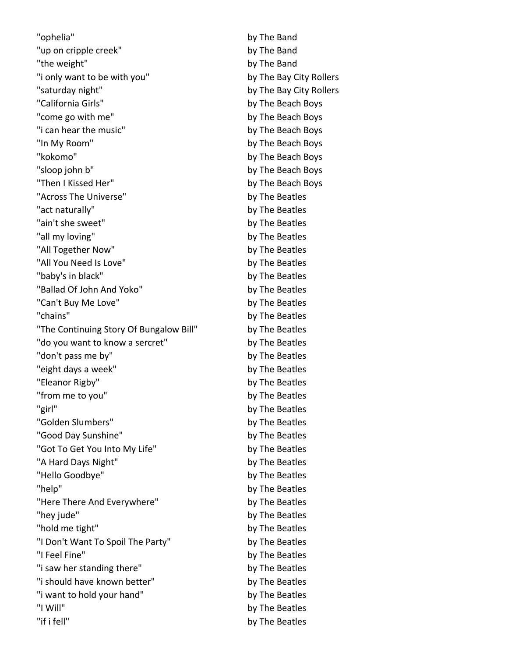"ophelia" by The Band "up on cripple creek" by The Band "the weight" by The Band "i only want to be with you" by The Bay City Rollers "saturday night" by The Bay City Rollers "California Girls" by The Beach Boys "come go with me" by The Beach Boys "i can hear the music" by The Beach Boys "In My Room" by The Beach Boys "kokomo" by The Beach Boys "sloop john b" by The Beach Boys "Then I Kissed Her" by The Beach Boys "Across The Universe" by The Beatles "act naturally" by The Beatles "ain't she sweet" by The Beatles "all my loving" by The Beatles "All Together Now" by The Beatles "All You Need Is Love" by The Beatles "baby's in black" by The Beatles "Ballad Of John And Yoko" by The Beatles "Can't Buy Me Love" by The Beatles "chains" by The Beatles "The Continuing Story Of Bungalow Bill" by The Beatles "do you want to know a sercret" by The Beatles "don't pass me by" by The Beatles "eight days a week" by The Beatles "Eleanor Rigby" by The Beatles "from me to you" by The Beatles "girl" by The Beatles "Golden Slumbers" by The Beatles "Good Day Sunshine" by The Beatles "Got To Get You Into My Life" by The Beatles "A Hard Days Night" by The Beatles "Hello Goodbye" by The Beatles "help" by The Beatles "Here There And Everywhere" by The Beatles "hey jude" by The Beatles "hold me tight" by The Beatles "I Don't Want To Spoil The Party" by The Beatles "I Feel Fine" by The Beatles "i saw her standing there" by The Beatles "i should have known better" by The Beatles "i want to hold your hand" by The Beatles "I Will" by The Beatles "if i fell" by The Beatles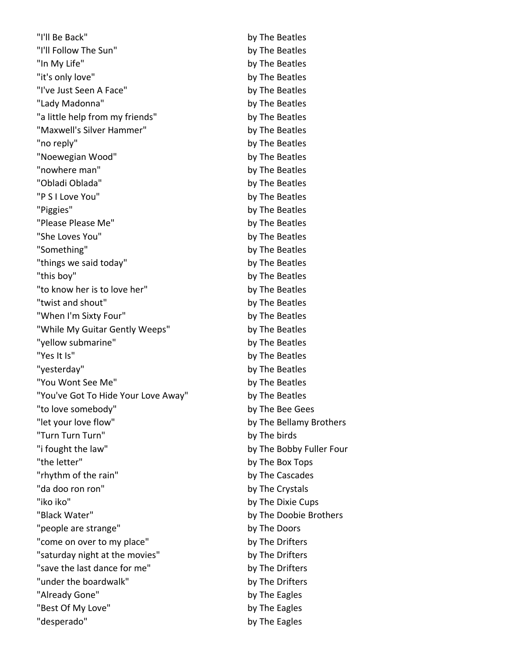"I'll Be Back" by The Beatles "I'll Follow The Sun" by The Beatles "In My Life" by The Beatles "it's only love" by The Beatles "I've Just Seen A Face" by The Beatles "Lady Madonna" by The Beatles "a little help from my friends" by The Beatles "Maxwell's Silver Hammer" by The Beatles "no reply" by The Beatles "Noewegian Wood" by The Beatles "nowhere man" by The Beatles "Obladi Oblada" by The Beatles "P S I Love You" by The Beatles "Piggies" by The Beatles "Please Please Me" by The Beatles "She Loves You" by The Beatles "Something" by The Beatles "things we said today" by The Beatles "this boy" by The Beatles "to know her is to love her" by The Beatles "twist and shout" by The Beatles "When I'm Sixty Four" by The Beatles "While My Guitar Gently Weeps" by The Beatles "yellow submarine" by The Beatles "Yes It Is" by The Beatles "yesterday" by The Beatles "You Wont See Me" by The Beatles "You've Got To Hide Your Love Away" by The Beatles "to love somebody" by The Bee Gees "let your love flow" by The Bellamy Brothers "Turn Turn Turn" by The birds "i fought the law" by The Bobby Fuller Four "the letter" by The Box Tops "rhythm of the rain" by The Cascades "da doo ron ron" by The Crystals "iko iko" by The Dixie Cups "Black Water" by The Doobie Brothers "people are strange" by The Doors "come on over to my place" by The Drifters "saturday night at the movies" by The Drifters "save the last dance for me" by The Drifters "under the boardwalk" by The Drifters "Already Gone" by The Eagles "Best Of My Love" by The Eagles "desperado" by The Eagles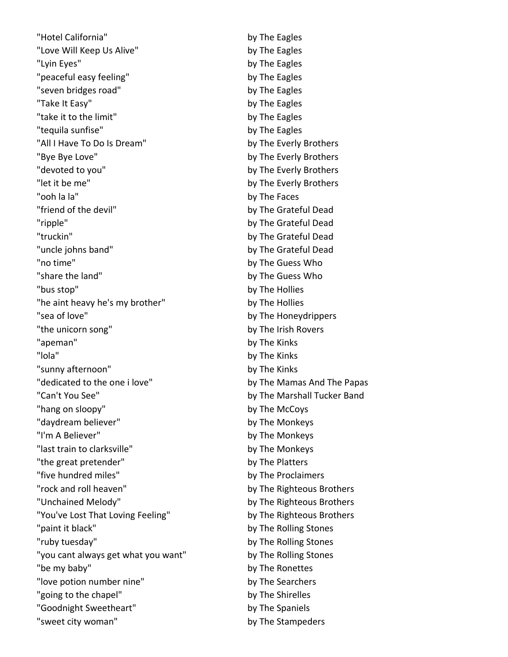"Hotel California" by The Eagles "Love Will Keep Us Alive" by The Eagles "Lyin Eyes" by The Eagles "peaceful easy feeling" by The Eagles "seven bridges road" by The Eagles "Take It Easy" by The Eagles "take it to the limit" by The Eagles "tequila sunfise" by The Eagles "All I Have To Do Is Dream" by The Everly Brothers "Bye Bye Love" by The Everly Brothers "devoted to you" and the state of the Everly Brothers "let it be me" by The Everly Brothers "ooh la la" by The Faces "friend of the devil" by The Grateful Dead "ripple" by The Grateful Dead "truckin" by The Grateful Dead "uncle johns band" by The Grateful Dead "no time" by The Guess Who "share the land" by The Guess Who "bus stop" by The Hollies "he aint heavy he's my brother" by The Hollies "sea of love" by The Honeydrippers "the unicorn song" by The Irish Rovers "apeman" by The Kinks "lola" by The Kinks "sunny afternoon" by The Kinks "dedicated to the one i love" by The Mamas And The Papas "Can't You See" by The Marshall Tucker Band "hang on sloopy" by The McCoys "daydream believer" by The Monkeys "I'm A Believer" by The Monkeys "last train to clarksville" by The Monkeys "the great pretender" by The Platters "five hundred miles" by The Proclaimers "rock and roll heaven" by The Righteous Brothers "Unchained Melody" and the Communist Communist Communist Communist Communist Communist Communist Communist Communist Communist Communist Communist Communist Communist Communist Communist Communist Communist Communist Commu "You've Lost That Loving Feeling" by The Righteous Brothers "paint it black" by The Rolling Stones "ruby tuesday" by The Rolling Stones "you cant always get what you want" by The Rolling Stones "be my baby" by The Ronettes "love potion number nine" by The Searchers "going to the chapel" by The Shirelles "Goodnight Sweetheart" by The Spaniels "sweet city woman" by The Stampeders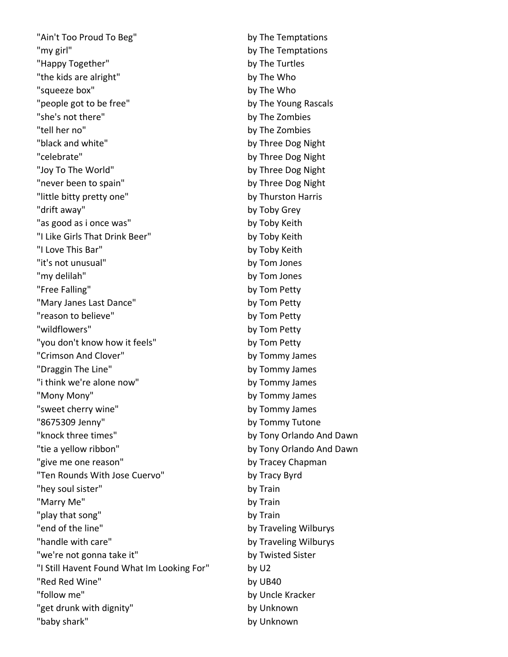"Ain't Too Proud To Beg" by The Temptations "my girl" by The Temptations "Happy Together" and the Turtles by The Turtles "the kids are alright" by The Who "squeeze box" by The Who "people got to be free" by The Young Rascals "she's not there" by The Zombies "tell her no" by The Zombies "black and white" by Three Dog Night "celebrate" by Three Dog Night "Joy To The World" by Three Dog Night "never been to spain" by Three Dog Night "little bitty pretty one" by Thurston Harris "drift away" by Toby Grey "as good as i once was" by Toby Keith "I Like Girls That Drink Beer" by Toby Keith "I Love This Bar" by Toby Keith "it's not unusual" by Tom Jones "my delilah" by Tom Jones "Free Falling" by Tom Petty "Mary Janes Last Dance" by Tom Petty "reason to believe" by Tom Petty "wildflowers" by Tom Petty "you don't know how it feels" by Tom Petty "Crimson And Clover" by Tommy James "Draggin The Line" by Tommy James "i think we're alone now" by Tommy James "Mony Mony" by Tommy James "sweet cherry wine" by Tommy James "8675309 Jenny" by Tommy Tutone "knock three times" by Tony Orlando And Dawn "tie a yellow ribbon" by Tony Orlando And Dawn "give me one reason" by Tracey Chapman "Ten Rounds With Jose Cuervo" by Tracy Byrd "hey soul sister" by Train "Marry Me" by Train "play that song" by Train "end of the line" by Traveling Wilburys "handle with care" by Traveling Wilburys "we're not gonna take it" by Twisted Sister "I Still Havent Found What Im Looking For" by U2 "Red Red Wine" by UB40 "follow me" by Uncle Kracker "get drunk with dignity" by Unknown "baby shark" by Unknown